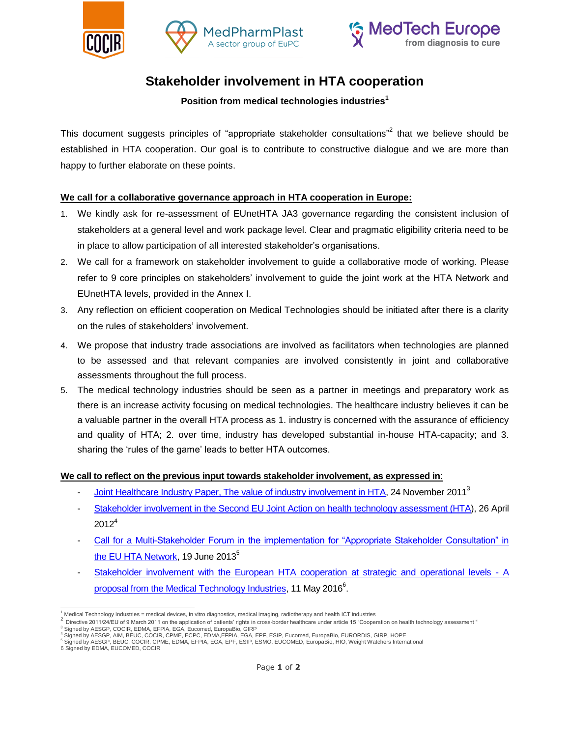





# **Stakeholder involvement in HTA cooperation**

## **Position from medical technologies industries<sup>1</sup>**

This document suggests principles of "appropriate stakeholder consultations"<sup>2</sup> that we believe should be established in HTA cooperation. Our goal is to contribute to constructive dialogue and we are more than happy to further elaborate on these points.

## **We call for a collaborative governance approach in HTA cooperation in Europe:**

- 1. We kindly ask for re-assessment of EUnetHTA JA3 governance regarding the consistent inclusion of stakeholders at a general level and work package level. Clear and pragmatic eligibility criteria need to be in place to allow participation of all interested stakeholder's organisations.
- 2. We call for a framework on stakeholder involvement to guide a collaborative mode of working. Please refer to 9 core principles on stakeholders' involvement to guide the joint work at the HTA Network and EUnetHTA levels, provided in the Annex I.
- 3. Any reflection on efficient cooperation on Medical Technologies should be initiated after there is a clarity on the rules of stakeholders' involvement.
- 4. We propose that industry trade associations are involved as facilitators when technologies are planned to be assessed and that relevant companies are involved consistently in joint and collaborative assessments throughout the full process.
- 5. The medical technology industries should be seen as a partner in meetings and preparatory work as there is an increase activity focusing on medical technologies. The healthcare industry believes it can be a valuable partner in the overall HTA process as 1. industry is concerned with the assurance of efficiency and quality of HTA; 2. over time, industry has developed substantial in-house HTA-capacity; and 3. sharing the 'rules of the game' leads to better HTA outcomes.

#### **We call to reflect on the previous input towards stakeholder involvement, as expressed in**:

- Joint Healthcare Industry Paper, [The value of industry involvement in HTA,](http://www.medtecheurope.org/sites/default/files/The%20value%20of%20industry%20involvement%20in%20HTA%202011.pdf) 24 November 2011<sup>3</sup>
- [Stakeholder involvement in the Second EU Joint Action on health technology assessment \(HTA\)](http://www.medtecheurope.org/sites/default/files/resource_items/files/120426_MA_HTA_PositionPaper%20-%20Stakeholder%20involvement%20in%20the%20EUnetHTA%20JA2%20on%20HTA.pdf), 26 April  $2012<sup>4</sup>$
- Call for a [Multi-Stakeholder Forum in the implementation for "Appropriate Stakeholder Consultation" in](http://www.medtecheurope.org/sites/default/files/resource_items/files/130619_MTE_MA_HTA_PositionPaper%20-%20Appropriate%20Stakeholder%20Consultation%20in%20EUnetHTA.pdf)  [the EU HTA Network,](http://www.medtecheurope.org/sites/default/files/resource_items/files/130619_MTE_MA_HTA_PositionPaper%20-%20Appropriate%20Stakeholder%20Consultation%20in%20EUnetHTA.pdf) 19 June  $2013^5$
- [Stakeholder involvement with the European HTA cooperation at strategic and operational levels -](http://www.medtecheurope.org/sites/default/files/resource_items/files/160511_MTE_MA_HTA_PositionPaper%20-%20Stakeholder%20involvement%20with%20the%20European%20HTA%20cooperation%20at%20strategic%20and%20operational%20levels_1.pdf) A [proposal from the Medical Technology Industries,](http://www.medtecheurope.org/sites/default/files/resource_items/files/160511_MTE_MA_HTA_PositionPaper%20-%20Stakeholder%20involvement%20with%20the%20European%20HTA%20cooperation%20at%20strategic%20and%20operational%20levels_1.pdf) 11 May 2016<sup>6</sup>.

 $\overline{a}$ <sup>1</sup> Medical Technology Industries = medical devices, in vitro diagnostics, medical imaging, radiotherapy and health ICT industries 2

Directive 2011/24/EU of 9 March 2011 on the application of patients' rights in cross-border healthcare under article 15 "Cooperation on health technology assessment " Signed by AESGP, COCIR, EDMA, EFPIA, EGA, Eucomed, EuropaBio, GIRP

<sup>&</sup>lt;sup>4</sup> Signed by AESGP, AIM, BEUC, COCIR, CPME, ECPC, EDMA,EFPIA, EGA, EPF, ESIP, Eucomed, EuropaBio, EURORDIS, GIRP, HOPE<br><sup>5</sup> Signed by AESGP, BEUC, COCIR, CPME, EDMA, EFPIA, EGA, EPF, ESIP, ESMO, EUCOMED, EuropaBio, HIO, We

<sup>6</sup> Signed by EDMA, EUCOMED, COCIR